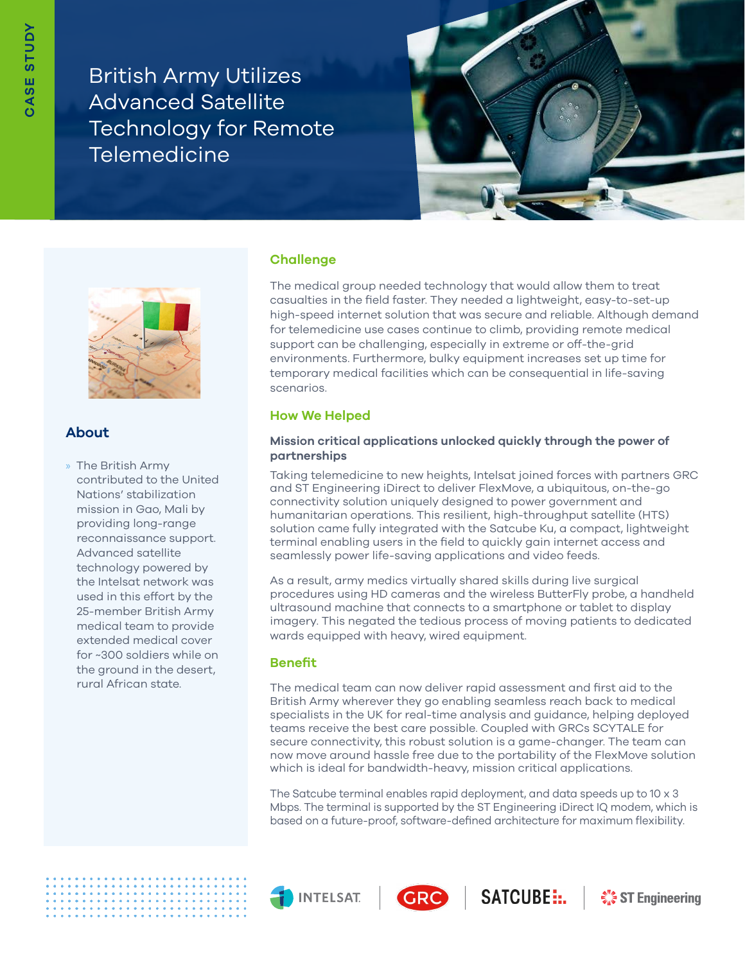British Army Utilizes Advanced Satellite Technology for Remote **Telemedicine** 





# **About**

» The British Army contributed to the United Nations' stabilization mission in Gao, Mali by providing long-range reconnaissance support. Advanced satellite technology powered by the Intelsat network was used in this effort by the 25-member British Army medical team to provide extended medical cover for ~300 soldiers while on the ground in the desert, rural African state.

## **Challenge**

The medical group needed technology that would allow them to treat casualties in the field faster. They needed a lightweight, easy-to-set-up high-speed internet solution that was secure and reliable. Although demand for telemedicine use cases continue to climb, providing remote medical support can be challenging, especially in extreme or off-the-grid environments. Furthermore, bulky equipment increases set up time for temporary medical facilities which can be consequential in life-saving scenarios.

## **How We Helped**

### **Mission critical applications unlocked quickly through the power of partnerships**

Taking telemedicine to new heights, Intelsat joined forces with partners GRC and ST Engineering iDirect to deliver FlexMove, a ubiquitous, on-the-go connectivity solution uniquely designed to power government and humanitarian operations. This resilient, high-throughput satellite (HTS) solution came fully integrated with the Satcube Ku, a compact, lightweight terminal enabling users in the field to quickly gain internet access and seamlessly power life-saving applications and video feeds.

As a result, army medics virtually shared skills during live surgical procedures using HD cameras and the wireless ButterFly probe, a handheld ultrasound machine that connects to a smartphone or tablet to display imagery. This negated the tedious process of moving patients to dedicated wards equipped with heavy, wired equipment.

## **Benefit**

The medical team can now deliver rapid assessment and first aid to the British Army wherever they go enabling seamless reach back to medical specialists in the UK for real-time analysis and guidance, helping deployed teams receive the best care possible. Coupled with GRCs SCYTALE for secure connectivity, this robust solution is a game-changer. The team can now move around hassle free due to the portability of the FlexMove solution which is ideal for bandwidth-heavy, mission critical applications.

The Satcube terminal enables rapid deployment, and data speeds up to 10 x 3 Mbps. The terminal is supported by the ST Engineering iDirect IQ modem, which is based on a future-proof, software-defined architecture for maximum flexibility.